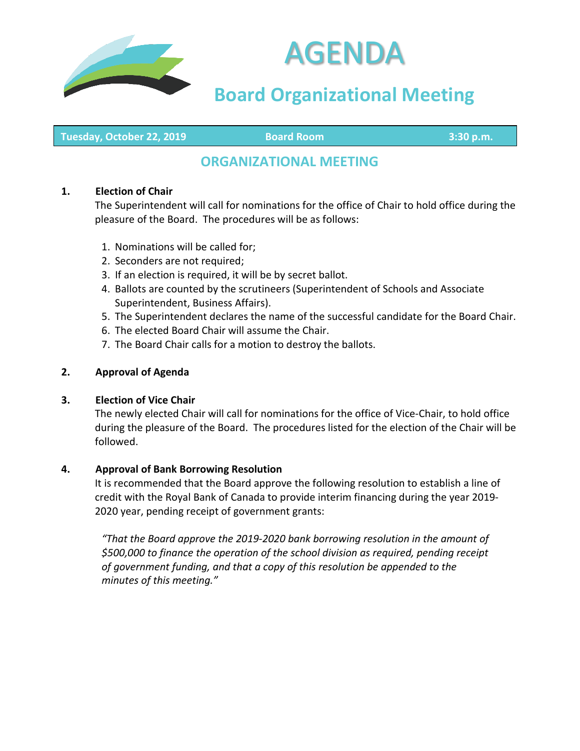



# **Board Organizational Meeting**

**Tuesday, October 22, 2019 Board Room 3:30 p.m.**

# **ORGANIZATIONAL MEETING**

#### **1. Election of Chair**

The Superintendent will call for nominations for the office of Chair to hold office during the pleasure of the Board. The procedures will be as follows:

- 1. Nominations will be called for;
- 2. Seconders are not required;
- 3. If an election is required, it will be by secret ballot.
- 4. Ballots are counted by the scrutineers (Superintendent of Schools and Associate Superintendent, Business Affairs).
- 5. The Superintendent declares the name of the successful candidate for the Board Chair.
- 6. The elected Board Chair will assume the Chair.
- 7. The Board Chair calls for a motion to destroy the ballots.

#### **2. Approval of Agenda**

#### **3. Election of Vice Chair**

The newly elected Chair will call for nominations for the office of Vice-Chair, to hold office during the pleasure of the Board. The procedures listed for the election of the Chair will be followed.

#### **4. Approval of Bank Borrowing Resolution**

It is recommended that the Board approve the following resolution to establish a line of credit with the Royal Bank of Canada to provide interim financing during the year 2019- 2020 year, pending receipt of government grants:

*"That the Board approve the 2019-2020 bank borrowing resolution in the amount of \$500,000 to finance the operation of the school division as required, pending receipt of government funding, and that a copy of this resolution be appended to the minutes of this meeting."*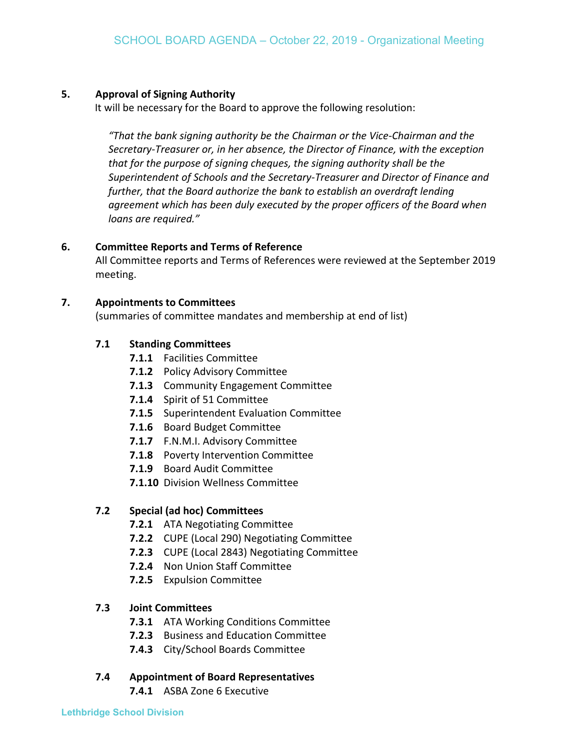#### **5. Approval of Signing Authority**

It will be necessary for the Board to approve the following resolution:

*"That the bank signing authority be the Chairman or the Vice-Chairman and the Secretary-Treasurer or, in her absence, the Director of Finance, with the exception that for the purpose of signing cheques, the signing authority shall be the Superintendent of Schools and the Secretary-Treasurer and Director of Finance and further, that the Board authorize the bank to establish an overdraft lending agreement which has been duly executed by the proper officers of the Board when loans are required."*

#### **6. Committee Reports and Terms of Reference**

All Committee reports and Terms of References were reviewed at the September 2019 meeting.

#### **7. Appointments to Committees**

(summaries of committee mandates and membership at end of list)

#### **7.1 Standing Committees**

- **7.1.1** Facilities Committee
- **7.1.2** Policy Advisory Committee
- **7.1.3** Community Engagement Committee
- **7.1.4** Spirit of 51 Committee
- **7.1.5** Superintendent Evaluation Committee
- **7.1.6** Board Budget Committee
- **7.1.7** F.N.M.I. Advisory Committee
- **7.1.8** Poverty Intervention Committee
- **7.1.9** Board Audit Committee
- **7.1.10** Division Wellness Committee

#### **7.2 Special (ad hoc) Committees**

- **7.2.1** ATA Negotiating Committee
- **7.2.2** CUPE (Local 290) Negotiating Committee
- **7.2.3** CUPE (Local 2843) Negotiating Committee
- **7.2.4** Non Union Staff Committee
- **7.2.5** Expulsion Committee

#### **7.3 Joint Committees**

- **7.3.1** ATA Working Conditions Committee
- **7.2.3** Business and Education Committee
- **7.4.3** City/School Boards Committee

#### **7.4 Appointment of Board Representatives**

**7.4.1** ASBA Zone 6 Executive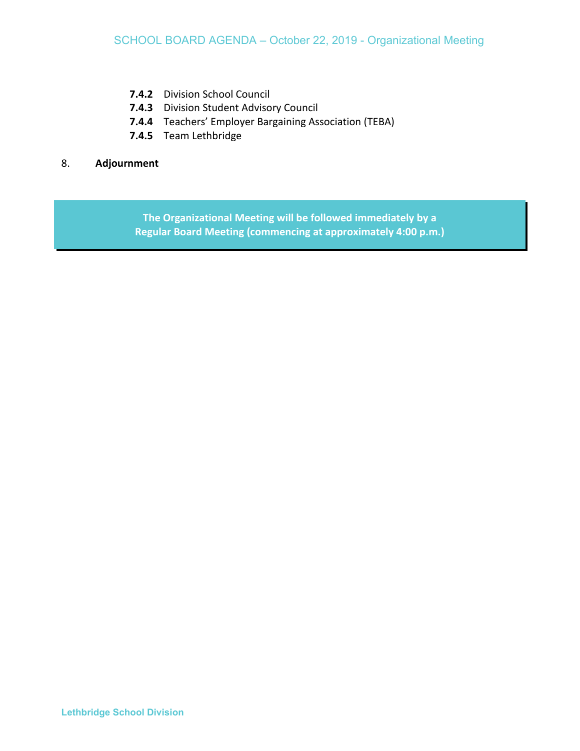- **7.4.2** Division School Council
- **7.4.3** Division Student Advisory Council
- **7.4.4** Teachers' Employer Bargaining Association (TEBA)
- **7.4.5** Team Lethbridge

#### 8. **Adjournment**

**The Organizational Meeting will be followed immediately by a Regular Board Meeting (commencing at approximately 4:00 p.m.)**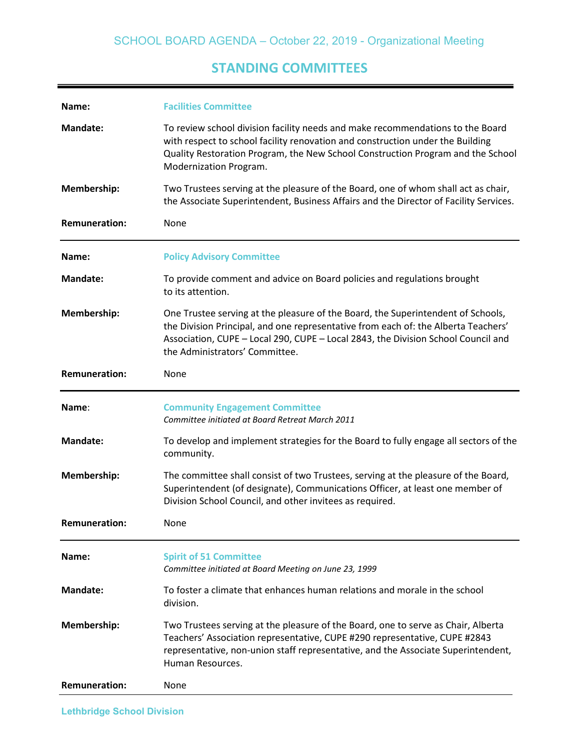## **STANDING COMMITTEES**

| Name:                | <b>Facilities Committee</b>                                                                                                                                                                                                                                                                   |
|----------------------|-----------------------------------------------------------------------------------------------------------------------------------------------------------------------------------------------------------------------------------------------------------------------------------------------|
| Mandate:             | To review school division facility needs and make recommendations to the Board<br>with respect to school facility renovation and construction under the Building<br>Quality Restoration Program, the New School Construction Program and the School<br>Modernization Program.                 |
| Membership:          | Two Trustees serving at the pleasure of the Board, one of whom shall act as chair,<br>the Associate Superintendent, Business Affairs and the Director of Facility Services.                                                                                                                   |
| <b>Remuneration:</b> | None                                                                                                                                                                                                                                                                                          |
| Name:                | <b>Policy Advisory Committee</b>                                                                                                                                                                                                                                                              |
| <b>Mandate:</b>      | To provide comment and advice on Board policies and regulations brought<br>to its attention.                                                                                                                                                                                                  |
| Membership:          | One Trustee serving at the pleasure of the Board, the Superintendent of Schools,<br>the Division Principal, and one representative from each of: the Alberta Teachers'<br>Association, CUPE - Local 290, CUPE - Local 2843, the Division School Council and<br>the Administrators' Committee. |
| <b>Remuneration:</b> | None                                                                                                                                                                                                                                                                                          |
|                      |                                                                                                                                                                                                                                                                                               |
| Name:                | <b>Community Engagement Committee</b><br>Committee initiated at Board Retreat March 2011                                                                                                                                                                                                      |
| <b>Mandate:</b>      | To develop and implement strategies for the Board to fully engage all sectors of the<br>community.                                                                                                                                                                                            |
| Membership:          | The committee shall consist of two Trustees, serving at the pleasure of the Board,<br>Superintendent (of designate), Communications Officer, at least one member of<br>Division School Council, and other invitees as required.                                                               |
| <b>Remuneration:</b> | None                                                                                                                                                                                                                                                                                          |
| Name:                | <b>Spirit of 51 Committee</b><br>Committee initiated at Board Meeting on June 23, 1999                                                                                                                                                                                                        |
| Mandate:             | To foster a climate that enhances human relations and morale in the school<br>division.                                                                                                                                                                                                       |
| <b>Membership:</b>   | Two Trustees serving at the pleasure of the Board, one to serve as Chair, Alberta<br>Teachers' Association representative, CUPE #290 representative, CUPE #2843<br>representative, non-union staff representative, and the Associate Superintendent,<br>Human Resources.                      |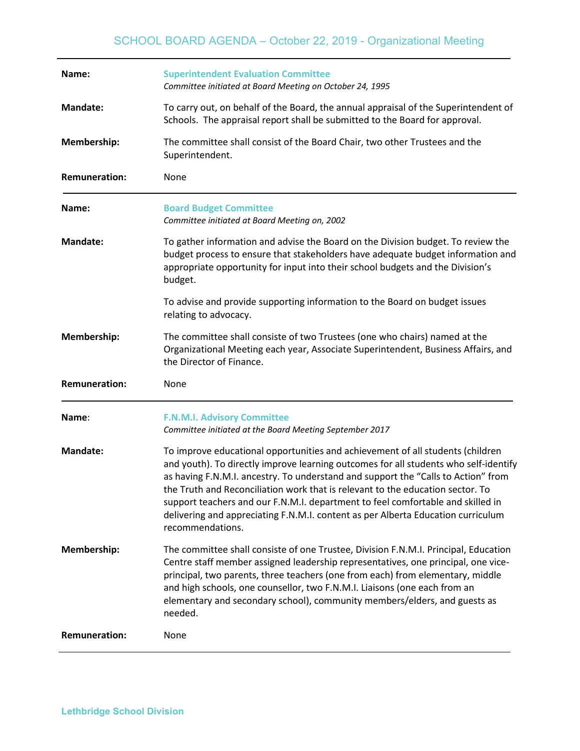| Name:                | <b>Superintendent Evaluation Committee</b><br>Committee initiated at Board Meeting on October 24, 1995                                                                                                                                                                                                                                                                                                                                                                                                                                   |
|----------------------|------------------------------------------------------------------------------------------------------------------------------------------------------------------------------------------------------------------------------------------------------------------------------------------------------------------------------------------------------------------------------------------------------------------------------------------------------------------------------------------------------------------------------------------|
| <b>Mandate:</b>      | To carry out, on behalf of the Board, the annual appraisal of the Superintendent of<br>Schools. The appraisal report shall be submitted to the Board for approval.                                                                                                                                                                                                                                                                                                                                                                       |
| Membership:          | The committee shall consist of the Board Chair, two other Trustees and the<br>Superintendent.                                                                                                                                                                                                                                                                                                                                                                                                                                            |
| <b>Remuneration:</b> | None                                                                                                                                                                                                                                                                                                                                                                                                                                                                                                                                     |
| Name:                | <b>Board Budget Committee</b><br>Committee initiated at Board Meeting on, 2002                                                                                                                                                                                                                                                                                                                                                                                                                                                           |
| <b>Mandate:</b>      | To gather information and advise the Board on the Division budget. To review the<br>budget process to ensure that stakeholders have adequate budget information and<br>appropriate opportunity for input into their school budgets and the Division's<br>budget.                                                                                                                                                                                                                                                                         |
|                      | To advise and provide supporting information to the Board on budget issues<br>relating to advocacy.                                                                                                                                                                                                                                                                                                                                                                                                                                      |
| Membership:          | The committee shall consiste of two Trustees (one who chairs) named at the<br>Organizational Meeting each year, Associate Superintendent, Business Affairs, and                                                                                                                                                                                                                                                                                                                                                                          |
|                      | the Director of Finance.                                                                                                                                                                                                                                                                                                                                                                                                                                                                                                                 |
| <b>Remuneration:</b> | None                                                                                                                                                                                                                                                                                                                                                                                                                                                                                                                                     |
| Name:                | <b>F.N.M.I. Advisory Committee</b><br>Committee initiated at the Board Meeting September 2017                                                                                                                                                                                                                                                                                                                                                                                                                                            |
| <b>Mandate:</b>      | To improve educational opportunities and achievement of all students (children<br>and youth). To directly improve learning outcomes for all students who self-identify<br>as having F.N.M.I. ancestry. To understand and support the "Calls to Action" from<br>the Truth and Reconciliation work that is relevant to the education sector. To<br>support teachers and our F.N.M.I. department to feel comfortable and skilled in<br>delivering and appreciating F.N.M.I. content as per Alberta Education curriculum<br>recommendations. |
| Membership:          | The committee shall consiste of one Trustee, Division F.N.M.I. Principal, Education<br>Centre staff member assigned leadership representatives, one principal, one vice-<br>principal, two parents, three teachers (one from each) from elementary, middle<br>and high schools, one counsellor, two F.N.M.I. Liaisons (one each from an<br>elementary and secondary school), community members/elders, and guests as<br>needed.                                                                                                          |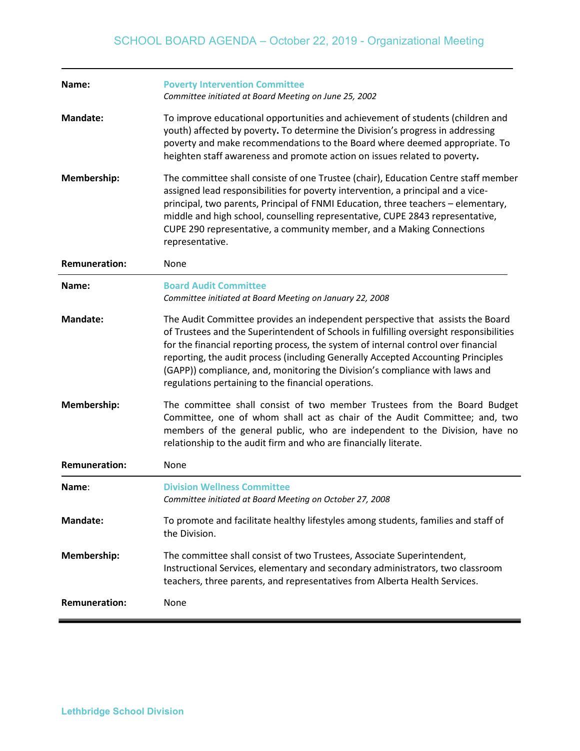| Name:                | <b>Poverty Intervention Committee</b><br>Committee initiated at Board Meeting on June 25, 2002                                                                                                                                                                                                                                                                                                                                                                                           |
|----------------------|------------------------------------------------------------------------------------------------------------------------------------------------------------------------------------------------------------------------------------------------------------------------------------------------------------------------------------------------------------------------------------------------------------------------------------------------------------------------------------------|
| <b>Mandate:</b>      | To improve educational opportunities and achievement of students (children and<br>youth) affected by poverty. To determine the Division's progress in addressing<br>poverty and make recommendations to the Board where deemed appropriate. To<br>heighten staff awareness and promote action on issues related to poverty.                                                                                                                                                              |
| Membership:          | The committee shall consiste of one Trustee (chair), Education Centre staff member<br>assigned lead responsibilities for poverty intervention, a principal and a vice-<br>principal, two parents, Principal of FNMI Education, three teachers - elementary,<br>middle and high school, counselling representative, CUPE 2843 representative,<br>CUPE 290 representative, a community member, and a Making Connections<br>representative.                                                 |
| <b>Remuneration:</b> | None                                                                                                                                                                                                                                                                                                                                                                                                                                                                                     |
| Name:                | <b>Board Audit Committee</b><br>Committee initiated at Board Meeting on January 22, 2008                                                                                                                                                                                                                                                                                                                                                                                                 |
| <b>Mandate:</b>      | The Audit Committee provides an independent perspective that assists the Board<br>of Trustees and the Superintendent of Schools in fulfilling oversight responsibilities<br>for the financial reporting process, the system of internal control over financial<br>reporting, the audit process (including Generally Accepted Accounting Principles<br>(GAPP)) compliance, and, monitoring the Division's compliance with laws and<br>regulations pertaining to the financial operations. |
| Membership:          | The committee shall consist of two member Trustees from the Board Budget<br>Committee, one of whom shall act as chair of the Audit Committee; and, two<br>members of the general public, who are independent to the Division, have no<br>relationship to the audit firm and who are financially literate.                                                                                                                                                                                |
| <b>Remuneration:</b> | None                                                                                                                                                                                                                                                                                                                                                                                                                                                                                     |
| Name:                | <b>Division Wellness Committee</b><br>Committee initiated at Board Meeting on October 27, 2008                                                                                                                                                                                                                                                                                                                                                                                           |
| <b>Mandate:</b>      | To promote and facilitate healthy lifestyles among students, families and staff of<br>the Division.                                                                                                                                                                                                                                                                                                                                                                                      |
| Membership:          | The committee shall consist of two Trustees, Associate Superintendent,<br>Instructional Services, elementary and secondary administrators, two classroom<br>teachers, three parents, and representatives from Alberta Health Services.                                                                                                                                                                                                                                                   |
| <b>Remuneration:</b> | None                                                                                                                                                                                                                                                                                                                                                                                                                                                                                     |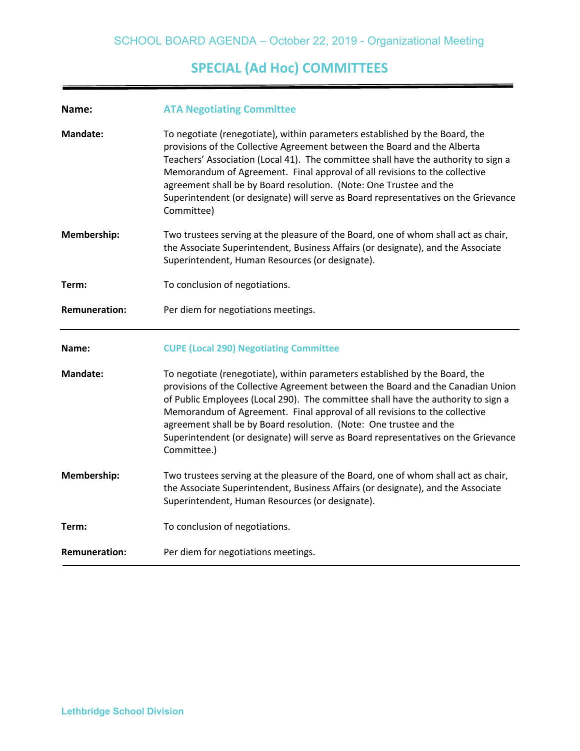# **SPECIAL (Ad Hoc) COMMITTEES**

| Name:                | <b>ATA Negotiating Committee</b>                                                                                                                                                                                                                                                                                                                                                                                                                                                                             |
|----------------------|--------------------------------------------------------------------------------------------------------------------------------------------------------------------------------------------------------------------------------------------------------------------------------------------------------------------------------------------------------------------------------------------------------------------------------------------------------------------------------------------------------------|
| <b>Mandate:</b>      | To negotiate (renegotiate), within parameters established by the Board, the<br>provisions of the Collective Agreement between the Board and the Alberta<br>Teachers' Association (Local 41). The committee shall have the authority to sign a<br>Memorandum of Agreement. Final approval of all revisions to the collective<br>agreement shall be by Board resolution. (Note: One Trustee and the<br>Superintendent (or designate) will serve as Board representatives on the Grievance<br>Committee)        |
| Membership:          | Two trustees serving at the pleasure of the Board, one of whom shall act as chair,<br>the Associate Superintendent, Business Affairs (or designate), and the Associate<br>Superintendent, Human Resources (or designate).                                                                                                                                                                                                                                                                                    |
| Term:                | To conclusion of negotiations.                                                                                                                                                                                                                                                                                                                                                                                                                                                                               |
| <b>Remuneration:</b> | Per diem for negotiations meetings.                                                                                                                                                                                                                                                                                                                                                                                                                                                                          |
|                      |                                                                                                                                                                                                                                                                                                                                                                                                                                                                                                              |
| Name:                | <b>CUPE (Local 290) Negotiating Committee</b>                                                                                                                                                                                                                                                                                                                                                                                                                                                                |
| <b>Mandate:</b>      | To negotiate (renegotiate), within parameters established by the Board, the<br>provisions of the Collective Agreement between the Board and the Canadian Union<br>of Public Employees (Local 290). The committee shall have the authority to sign a<br>Memorandum of Agreement. Final approval of all revisions to the collective<br>agreement shall be by Board resolution. (Note: One trustee and the<br>Superintendent (or designate) will serve as Board representatives on the Grievance<br>Committee.) |
| Membership:          | Two trustees serving at the pleasure of the Board, one of whom shall act as chair,<br>the Associate Superintendent, Business Affairs (or designate), and the Associate<br>Superintendent, Human Resources (or designate).                                                                                                                                                                                                                                                                                    |
| Term:                | To conclusion of negotiations.                                                                                                                                                                                                                                                                                                                                                                                                                                                                               |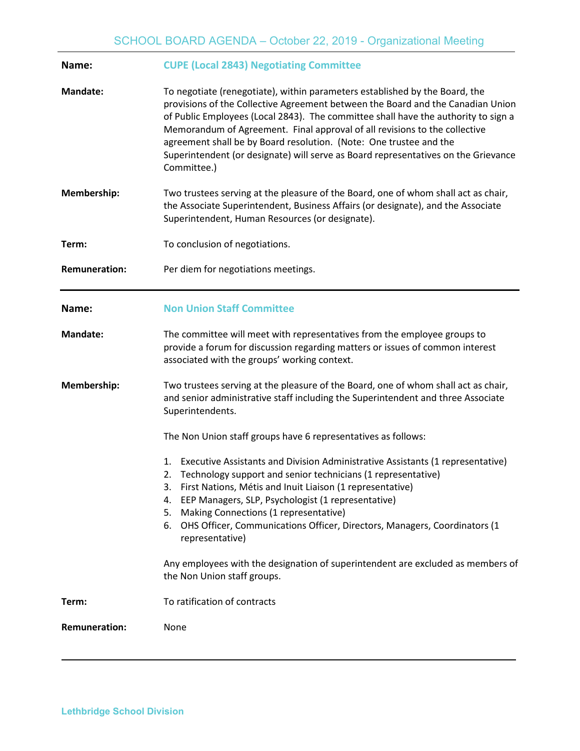| Name:                | <b>CUPE (Local 2843) Negotiating Committee</b>                                                                                                                                                                                                                                                                                                                                                                                                                                                                |
|----------------------|---------------------------------------------------------------------------------------------------------------------------------------------------------------------------------------------------------------------------------------------------------------------------------------------------------------------------------------------------------------------------------------------------------------------------------------------------------------------------------------------------------------|
| <b>Mandate:</b>      | To negotiate (renegotiate), within parameters established by the Board, the<br>provisions of the Collective Agreement between the Board and the Canadian Union<br>of Public Employees (Local 2843). The committee shall have the authority to sign a<br>Memorandum of Agreement. Final approval of all revisions to the collective<br>agreement shall be by Board resolution. (Note: One trustee and the<br>Superintendent (or designate) will serve as Board representatives on the Grievance<br>Committee.) |
| Membership:          | Two trustees serving at the pleasure of the Board, one of whom shall act as chair,<br>the Associate Superintendent, Business Affairs (or designate), and the Associate<br>Superintendent, Human Resources (or designate).                                                                                                                                                                                                                                                                                     |
| Term:                | To conclusion of negotiations.                                                                                                                                                                                                                                                                                                                                                                                                                                                                                |
| <b>Remuneration:</b> | Per diem for negotiations meetings.                                                                                                                                                                                                                                                                                                                                                                                                                                                                           |
| Name:                | <b>Non Union Staff Committee</b>                                                                                                                                                                                                                                                                                                                                                                                                                                                                              |
| <b>Mandate:</b>      | The committee will meet with representatives from the employee groups to<br>provide a forum for discussion regarding matters or issues of common interest<br>associated with the groups' working context.                                                                                                                                                                                                                                                                                                     |
| Membership:          | Two trustees serving at the pleasure of the Board, one of whom shall act as chair,<br>and senior administrative staff including the Superintendent and three Associate<br>Superintendents.                                                                                                                                                                                                                                                                                                                    |
|                      | The Non Union staff groups have 6 representatives as follows:                                                                                                                                                                                                                                                                                                                                                                                                                                                 |
|                      | Executive Assistants and Division Administrative Assistants (1 representative)<br>1.<br>2. Technology support and senior technicians (1 representative)<br>3. First Nations, Métis and Inuit Liaison (1 representative)<br>EEP Managers, SLP, Psychologist (1 representative)<br>4.<br>Making Connections (1 representative)<br>5.<br>6. OHS Officer, Communications Officer, Directors, Managers, Coordinators (1<br>representative)                                                                         |
|                      | Any employees with the designation of superintendent are excluded as members of<br>the Non Union staff groups.                                                                                                                                                                                                                                                                                                                                                                                                |
| Term:                | To ratification of contracts                                                                                                                                                                                                                                                                                                                                                                                                                                                                                  |
| <b>Remuneration:</b> | None                                                                                                                                                                                                                                                                                                                                                                                                                                                                                                          |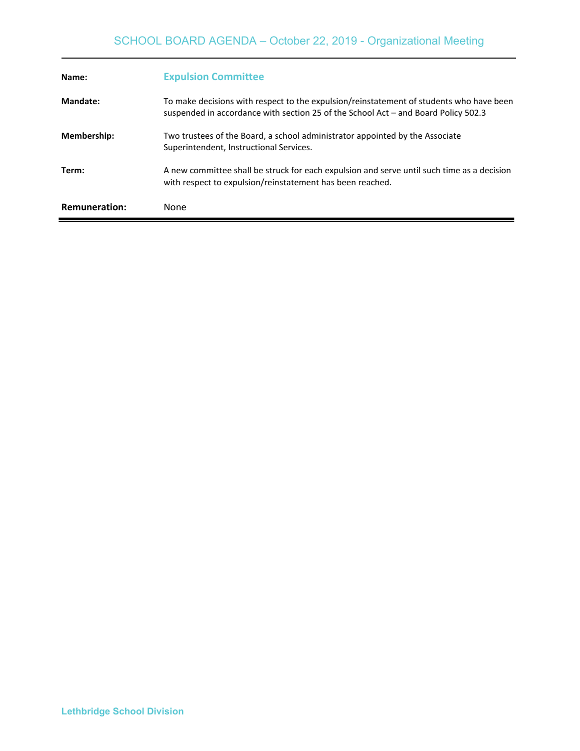| Name:                | <b>Expulsion Committee</b>                                                                                                                                                    |
|----------------------|-------------------------------------------------------------------------------------------------------------------------------------------------------------------------------|
| Mandate:             | To make decisions with respect to the expulsion/reinstatement of students who have been<br>suspended in accordance with section 25 of the School Act – and Board Policy 502.3 |
| <b>Membership:</b>   | Two trustees of the Board, a school administrator appointed by the Associate<br>Superintendent, Instructional Services.                                                       |
| Term:                | A new committee shall be struck for each expulsion and serve until such time as a decision<br>with respect to expulsion/reinstatement has been reached.                       |
| <b>Remuneration:</b> | None                                                                                                                                                                          |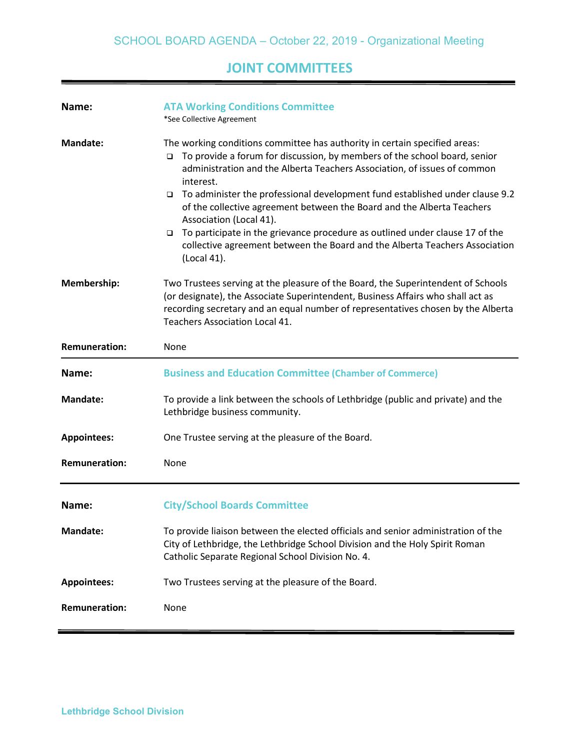# **JOINT COMMITTEES**

| Name:                | <b>ATA Working Conditions Committee</b><br>*See Collective Agreement                                                                                                                                                                                                                                                                                                                                                                                                                                                                                                                                                                              |
|----------------------|---------------------------------------------------------------------------------------------------------------------------------------------------------------------------------------------------------------------------------------------------------------------------------------------------------------------------------------------------------------------------------------------------------------------------------------------------------------------------------------------------------------------------------------------------------------------------------------------------------------------------------------------------|
| <b>Mandate:</b>      | The working conditions committee has authority in certain specified areas:<br>To provide a forum for discussion, by members of the school board, senior<br>$\Box$<br>administration and the Alberta Teachers Association, of issues of common<br>interest.<br>To administer the professional development fund established under clause 9.2<br>$\Box$<br>of the collective agreement between the Board and the Alberta Teachers<br>Association (Local 41).<br>To participate in the grievance procedure as outlined under clause 17 of the<br>$\Box$<br>collective agreement between the Board and the Alberta Teachers Association<br>(Local 41). |
| Membership:          | Two Trustees serving at the pleasure of the Board, the Superintendent of Schools<br>(or designate), the Associate Superintendent, Business Affairs who shall act as<br>recording secretary and an equal number of representatives chosen by the Alberta<br><b>Teachers Association Local 41.</b>                                                                                                                                                                                                                                                                                                                                                  |
| <b>Remuneration:</b> | None                                                                                                                                                                                                                                                                                                                                                                                                                                                                                                                                                                                                                                              |
| Name:                | <b>Business and Education Committee (Chamber of Commerce)</b>                                                                                                                                                                                                                                                                                                                                                                                                                                                                                                                                                                                     |
| <b>Mandate:</b>      | To provide a link between the schools of Lethbridge (public and private) and the<br>Lethbridge business community.                                                                                                                                                                                                                                                                                                                                                                                                                                                                                                                                |
| <b>Appointees:</b>   | One Trustee serving at the pleasure of the Board.                                                                                                                                                                                                                                                                                                                                                                                                                                                                                                                                                                                                 |
| <b>Remuneration:</b> | None                                                                                                                                                                                                                                                                                                                                                                                                                                                                                                                                                                                                                                              |
| Name:                | <b>City/School Boards Committee</b>                                                                                                                                                                                                                                                                                                                                                                                                                                                                                                                                                                                                               |
| <b>Mandate:</b>      | To provide liaison between the elected officials and senior administration of the<br>City of Lethbridge, the Lethbridge School Division and the Holy Spirit Roman<br>Catholic Separate Regional School Division No. 4.                                                                                                                                                                                                                                                                                                                                                                                                                            |
| <b>Appointees:</b>   | Two Trustees serving at the pleasure of the Board.                                                                                                                                                                                                                                                                                                                                                                                                                                                                                                                                                                                                |
| <b>Remuneration:</b> | None                                                                                                                                                                                                                                                                                                                                                                                                                                                                                                                                                                                                                                              |